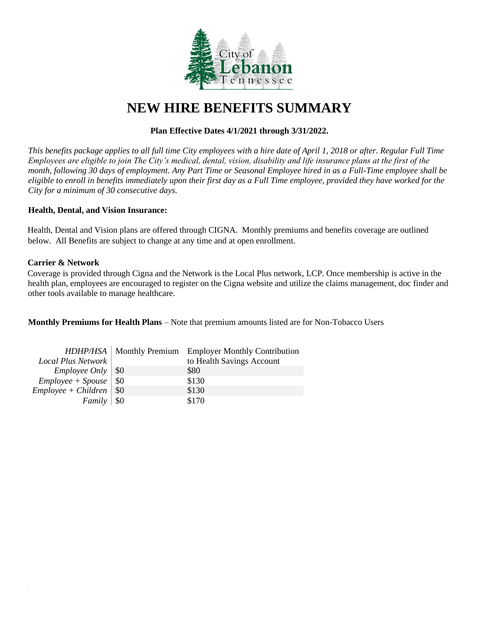

# **NEW HIRE BENEFITS SUMMARY**

# **Plan Effective Dates 4/1/2021 through 3/31/2022.**

*This benefits package applies to all full time City employees with a hire date of April 1, 2018 or after. Regular Full Time Employees are eligible to join The City's medical, dental, vision, disability and life insurance plans at the first of the month, following 30 days of employment. Any Part Time or Seasonal Employee hired in as a Full-Time employee shall be eligible to enroll in benefits immediately upon their first day as a Full Time employee, provided they have worked for the City for a minimum of 30 consecutive days.*

### **Health, Dental, and Vision Insurance:**

Health, Dental and Vision plans are offered through CIGNA. Monthly premiums and benefits coverage are outlined below. All Benefits are subject to change at any time and at open enrollment.

## **Carrier & Network**

 $\overline{a}$ 

Coverage is provided through Cigna and the Network is the Local Plus network, LCP. Once membership is active in the health plan, employees are encouraged to register on the Cigna website and utilize the claims management, doc finder and other tools available to manage healthcare.

**Monthly Premiums for Health Plans** – Note that premium amounts listed are for Non-Tobacco Users

|                                |       | HDHP/HSA   Monthly Premium Employer Monthly Contribution |
|--------------------------------|-------|----------------------------------------------------------|
| Local Plus Network             |       | to Health Savings Account                                |
| Employee Only   \$0            |       | \$80                                                     |
| $Employee + Spouse \,   \, $0$ |       | \$130                                                    |
| $Employee + Children$ \ \$0    |       | \$130                                                    |
| Family                         | - \$0 | \$170                                                    |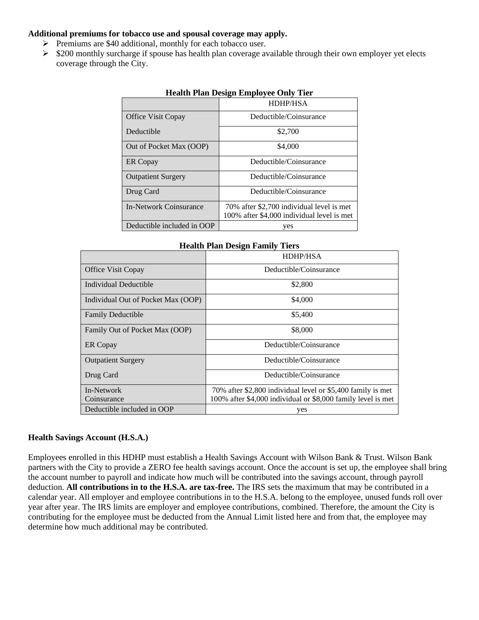## **Additional premiums for tobacco use and spousal coverage may apply.**

- ➢ Premiums are \$40 additional, monthly for each tobacco user.
- $\geq$  \$200 monthly surcharge if spouse has health plan coverage available through their own employer yet elects coverage through the City.

|                            | HDHP/HSA                                                                                |
|----------------------------|-----------------------------------------------------------------------------------------|
| Office Visit Copay         | Deductible/Coinsurance                                                                  |
| Deductible                 | \$2,700                                                                                 |
| Out of Pocket Max (OOP)    | \$4,000                                                                                 |
| <b>ER</b> Copay            | Deductible/Coinsurance                                                                  |
| <b>Outpatient Surgery</b>  | Deductible/Coinsurance                                                                  |
| Drug Card                  | Deductible/Coinsurance                                                                  |
| In-Network Coinsurance     | 70% after \$2,700 individual level is met<br>100% after \$4,000 individual level is met |
| Deductible included in OOP | yes                                                                                     |

## **Health Plan Design Employee Only Tier**

| <b>Health Plan Design Family Tiers</b> |                                                              |  |
|----------------------------------------|--------------------------------------------------------------|--|
|                                        | <b>HDHP/HSA</b>                                              |  |
| <b>Office Visit Copay</b>              | Deductible/Coinsurance                                       |  |
| Individual Deductible                  | \$2,800                                                      |  |
| Individual Out of Pocket Max (OOP)     | \$4,000                                                      |  |
| <b>Family Deductible</b>               | \$5,400                                                      |  |
| Family Out of Pocket Max (OOP)         | \$8,000                                                      |  |
| ER Copay                               | Deductible/Coinsurance                                       |  |
| <b>Outpatient Surgery</b>              | Deductible/Coinsurance                                       |  |
| Drug Card                              | Deductible/Coinsurance                                       |  |
| In-Network                             | 70% after \$2,800 individual level or \$5,400 family is met  |  |
| Coinsurance                            | 100% after \$4,000 individual or \$8,000 family level is met |  |
| Deductible included in OOP             | yes                                                          |  |

# **Health Savings Account (H.S.A.)**

Employees enrolled in this HDHP must establish a Health Savings Account with Wilson Bank & Trust. Wilson Bank partners with the City to provide a ZERO fee health savings account. Once the account is set up, the employee shall bring the account number to payroll and indicate how much will be contributed into the savings account, through payroll deduction. **All contributions in to the H.S.A. are tax-free.** The IRS sets the maximum that may be contributed in a calendar year. All employer and employee contributions in to the H.S.A. belong to the employee, unused funds roll over year after year. The IRS limits are employer and employee contributions, combined. Therefore, the amount the City is contributing for the employee must be deducted from the Annual Limit listed here and from that, the employee may determine how much additional may be contributed.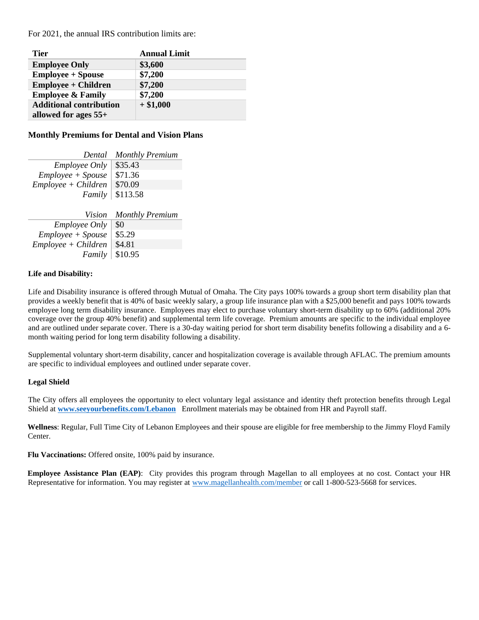For 2021, the annual IRS contribution limits are:

| <b>Tier</b>                    | <b>Annual Limit</b> |
|--------------------------------|---------------------|
| <b>Employee Only</b>           | \$3,600             |
| <b>Employee + Spouse</b>       | \$7,200             |
| <b>Employee + Children</b>     | \$7,200             |
| <b>Employee &amp; Family</b>   | \$7,200             |
| <b>Additional contribution</b> | $+ $1,000$          |
| allowed for ages $55+$         |                     |

#### **Monthly Premiums for Dental and Vision Plans**

| Dental                | <b>Monthly Premium</b> |
|-----------------------|------------------------|
| <b>Employee Only</b>  | \$35.43                |
| $Employee + Spouse$   | \$71.36                |
| $Employee + Children$ | \$70.09                |
| <i>Family</i>         | \$113.58               |
|                       |                        |
| Vision                | <b>Monthly Premium</b> |
| <i>Employee Only</i>  | \$0                    |

| <i>Employee Only</i>           | w |
|--------------------------------|---|
| $Employee + Spouse \mid $5.29$ |   |
| $Employee + Children$ \ \$4.81 |   |
| <i>Family</i>   $$10.95$       |   |

#### **Life and Disability:**

Life and Disability insurance is offered through Mutual of Omaha. The City pays 100% towards a group short term disability plan that provides a weekly benefit that is 40% of basic weekly salary, a group life insurance plan with a \$25,000 benefit and pays 100% towards employee long term disability insurance. Employees may elect to purchase voluntary short-term disability up to 60% (additional 20% coverage over the group 40% benefit) and supplemental term life coverage. Premium amounts are specific to the individual employee and are outlined under separate cover. There is a 30-day waiting period for short term disability benefits following a disability and a 6 month waiting period for long term disability following a disability.

Supplemental voluntary short-term disability, cancer and hospitalization coverage is available through AFLAC. The premium amounts are specific to individual employees and outlined under separate cover.

#### **Legal Shield**

The City offers all employees the opportunity to elect voluntary legal assistance and identity theft protection benefits through Legal Shield at **[www.seeyourbenefits.com/Lebanon](http://www.seeyourbenefits.com/Lebanon)** Enrollment materials may be obtained from HR and Payroll staff.

**Wellness**: Regular, Full Time City of Lebanon Employees and their spouse are eligible for free membership to the Jimmy Floyd Family Center.

**Flu Vaccinations:** Offered onsite, 100% paid by insurance.

**Employee Assistance Plan (EAP)**: City provides this program through Magellan to all employees at no cost. Contact your HR Representative for information. You may register at [www.magellanhealth.com/member](http://www.magellanhealth.com/member) or call 1-800-523-5668 for services.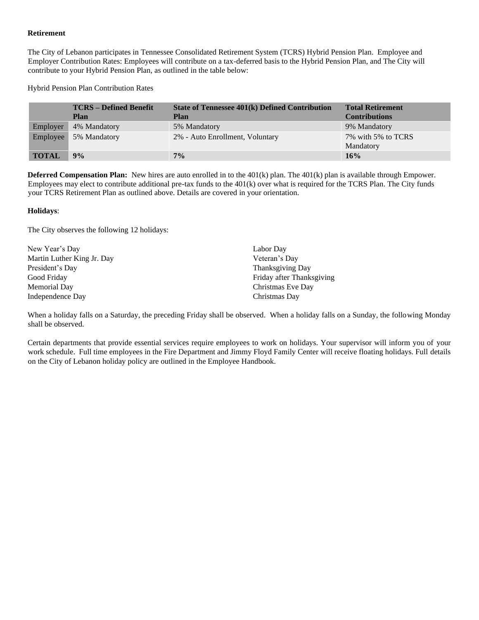#### **Retirement**

The City of Lebanon participates in Tennessee Consolidated Retirement System (TCRS) Hybrid Pension Plan. Employee and Employer Contribution Rates: Employees will contribute on a tax-deferred basis to the Hybrid Pension Plan, and The City will contribute to your Hybrid Pension Plan, as outlined in the table below:

Hybrid Pension Plan Contribution Rates

|              | <b>TCRS</b> – Defined Benefit<br><b>Plan</b> | <b>State of Tennessee 401(k) Defined Contribution</b><br><b>Plan</b> | <b>Total Retirement</b><br><b>Contributions</b> |
|--------------|----------------------------------------------|----------------------------------------------------------------------|-------------------------------------------------|
| Employer     | 4% Mandatory                                 | 5% Mandatory                                                         | 9% Mandatory                                    |
| Employee     | 5% Mandatory                                 | 2% - Auto Enrollment, Voluntary                                      | 7% with 5% to TCRS<br>Mandatory                 |
| <b>TOTAL</b> | 9%                                           | 7%                                                                   | 16%                                             |

**Deferred Compensation Plan:** New hires are auto enrolled in to the 401(k) plan. The 401(k) plan is available through Empower. Employees may elect to contribute additional pre-tax funds to the 401(k) over what is required for the TCRS Plan. The City funds your TCRS Retirement Plan as outlined above. Details are covered in your orientation.

#### **Holidays**:

The City observes the following 12 holidays:

| New Year's Day             | Labor Day                 |
|----------------------------|---------------------------|
| Martin Luther King Jr. Day | Veteran's Day             |
| President's Day            | Thanksgiving Day          |
| Good Friday                | Friday after Thanksgiving |
| Memorial Day               | Christmas Eve Day         |
| Independence Day           | Christmas Day             |

When a holiday falls on a Saturday, the preceding Friday shall be observed. When a holiday falls on a Sunday, the following Monday shall be observed.

Certain departments that provide essential services require employees to work on holidays. Your supervisor will inform you of your work schedule. Full time employees in the Fire Department and Jimmy Floyd Family Center will receive floating holidays. Full details on the City of Lebanon holiday policy are outlined in the Employee Handbook.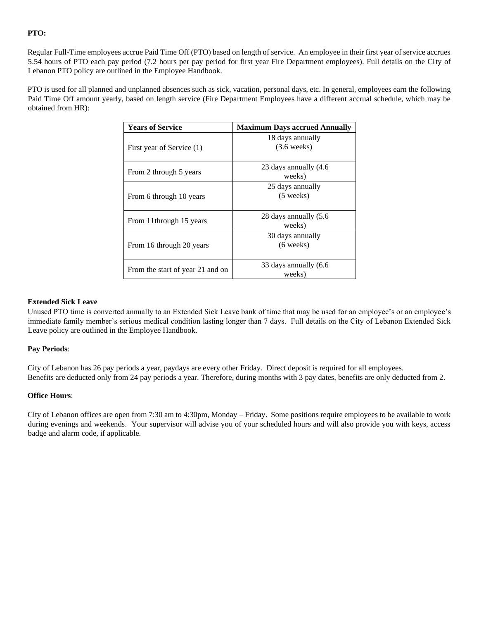### **PTO:**

Regular Full-Time employees accrue Paid Time Off (PTO) based on length of service. An employee in their first year of service accrues 5.54 hours of PTO each pay period (7.2 hours per pay period for first year Fire Department employees). Full details on the City of Lebanon PTO policy are outlined in the Employee Handbook.

PTO is used for all planned and unplanned absences such as sick, vacation, personal days, etc. In general, employees earn the following Paid Time Off amount yearly, based on length service (Fire Department Employees have a different accrual schedule, which may be obtained from HR):

| <b>Years of Service</b>          | <b>Maximum Days accrued Annually</b>      |
|----------------------------------|-------------------------------------------|
| First year of Service (1)        | 18 days annually<br>$(3.6 \text{ weeks})$ |
| From 2 through 5 years           | 23 days annually (4.6)<br>weeks)          |
| From 6 through 10 years          | 25 days annually<br>$(5$ weeks)           |
| From 11through 15 years          | 28 days annually (5.6)<br>weeks)          |
| From 16 through 20 years         | 30 days annually<br>$(6 \text{ weeks})$   |
| From the start of year 21 and on | 33 days annually (6.6)<br>weeks)          |

#### **Extended Sick Leave**

Unused PTO time is converted annually to an Extended Sick Leave bank of time that may be used for an employee's or an employee's immediate family member's serious medical condition lasting longer than 7 days. Full details on the City of Lebanon Extended Sick Leave policy are outlined in the Employee Handbook.

#### **Pay Periods**:

City of Lebanon has 26 pay periods a year, paydays are every other Friday. Direct deposit is required for all employees. Benefits are deducted only from 24 pay periods a year. Therefore, during months with 3 pay dates, benefits are only deducted from 2.

#### **Office Hours**:

City of Lebanon offices are open from 7:30 am to 4:30pm, Monday – Friday. Some positions require employees to be available to work during evenings and weekends. Your supervisor will advise you of your scheduled hours and will also provide you with keys, access badge and alarm code, if applicable.